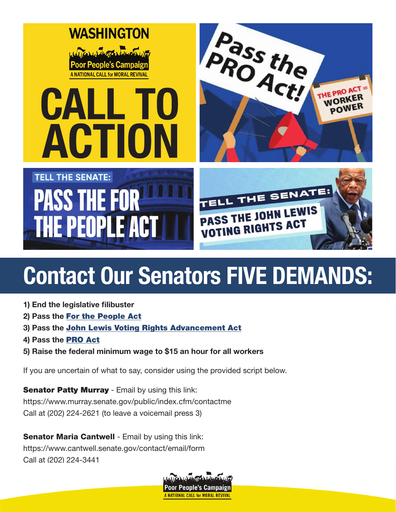

## *Contact Our Senators* **FINDING DELLA DELLA DELLA DELLA DELLA DELLA DELLA DELLA DELLA DELLA DELLA DELLA DELLA DELLA DELLA DELLA DELLA** *Contact Our Senators Contact Our Senators FIVE DEMANDS:*  Contact Our Senators FIVE DEMANDS:

- **End the le**<br>**Pass the FIVE 2019**<br>**FIVE DEAL TO BE A SET OF STATE OF STATE OF STATE OF STATE AND THE PROPERTY OF STATE OF STATE OF STATE OF STATE 1) End the legislative filibuster**<br><sup>2)</sup> Pass the Fauthe Pass Le As
- 1) End the legislative filibate:<br>
2) Pass the <u>[For the People Act](https://www.brennancenter.org/our-work/policy-solutions/congress-must-pass-people-act)</u><br>
<sup>2)</sup> Pass the John Lewis Voting Rights (
- **2**) Fass the <u>For the People Act</u><br>3) Pass the John Lewis Voting Rights / **3) Pass the John Lewis Voting Rights Advancement Act** 3) Pass the [John Lewis Voting Rights Advancement Act](https://sewell.house.gov/media-center/press-releases/rep-sewell-introduces-hr-4-john-r-lewis-voting-rights-advancement-act)
	-
- **4) Pass the <u>PRO Act</u><br>5) Raise the federal minimum wage to \$15 an hour for all workers 4) Raise the federal minimum wage to \$15 an hour for all workers 4) Pass the <u>PRO Act</u>**<br>**4)** Daigo the foderal minimum **5) Raise the federal minimum wage to \$15 an hour for all workers** 5) Raise the federal minimum wage to \$15 an hour for all workers

**If you are uncertain of what to say, consider using the 5) Raise the federal minimum wage to \$15 an hour for all workers If you are uncertain of what to say, consider using the**  If you are uncertain of what to say, consider using the provided script below.

**Senator Patty Murray** - Email by using this link: **Senator Murrier Patty Senatory of Public Music Components**<br>Cell et (202) 224-2621 (to leave a voicemeil press 2) but at  $\left(\frac{202}{224} \right)$  LL+ 2021 (to identify a volument proso of https://www.murray.senate.gov/public/index.cfm/contactme **Senator Patty Murray** - Email by using this link: Call at (202) 224-2621 (to leave a voicemail press 3)

**Call at (202) 224-2621 (to leave a voicemail press 3)** Senator Maria Cantwell - Email by using this link: **Contact matter called at 2021-211** (and 2) doing the mini-**Call at (202) 224-3441 Senator Maria Cantwell - Email by using this link:** Call at (202) 224-3441**https://www.cantwell.senate.gov/contact/email/form** https://www.cantwell.senate.gov/contact/email/form